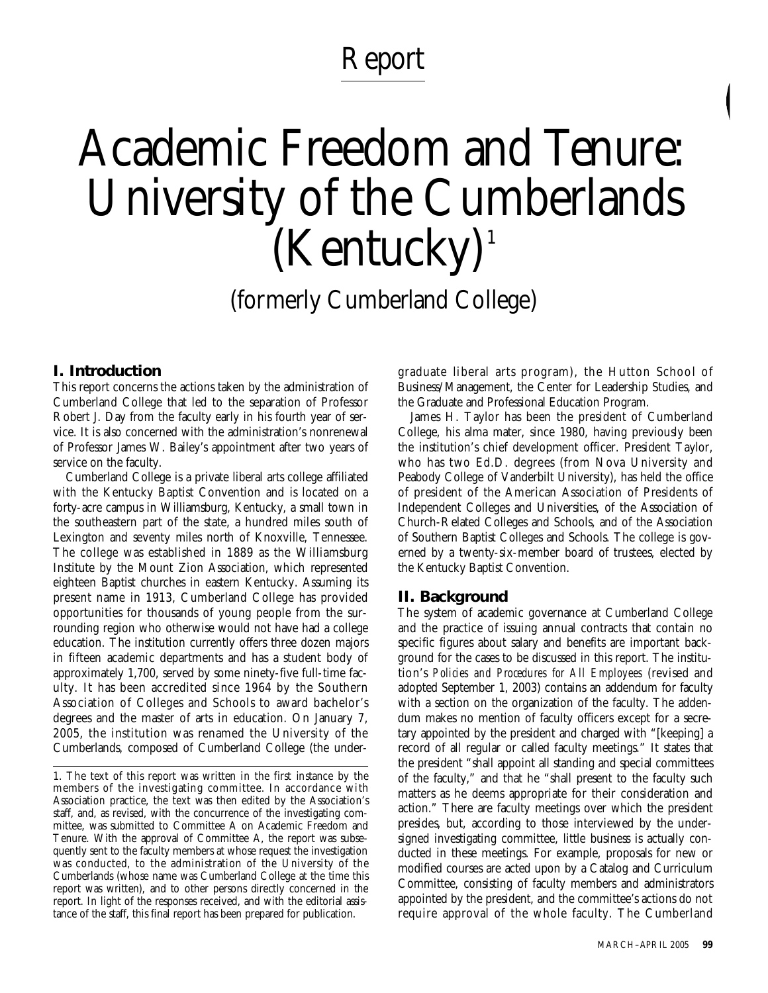# Report

# Academic Freedom and Tenure: University of the Cumberlands  $(Kentucky)^1$

(formerly Cumberland College)

# **I. Introduction**

This report concerns the actions taken by the administration of Cumberland College that led to the separation of Professor Robert J. Day from the faculty early in his fourth year of service. It is also concerned with the administration's nonrenewal of Professor James W. Bailey's appointment after two years of service on the faculty.

Cumberland College is a private liberal arts college affiliated with the Kentucky Baptist Convention and is located on a forty-acre campus in Williamsburg, Kentucky, a small town in the southeastern part of the state, a hundred miles south of Lexington and seventy miles north of Knoxville, Tennessee. The college was established in 1889 as the Williamsburg Institute by the Mount Zion Association, which represented eighteen Baptist churches in eastern Kentucky. Assuming its present name in 1913, Cumberland College has provided opportunities for thousands of young people from the surrounding region who otherwise would not have had a college education. The institution currently offers three dozen majors in fifteen academic departments and has a student body of approximately 1,700, served by some ninety-five full-time faculty. It has been accredited since 1964 by the Southern Association of Colleges and Schools to award bachelor's degrees and the master of arts in education. On January 7, 2005, the institution was renamed the University of the Cumberlands, composed of Cumberland College (the under-

1. The text of this report was written in the first instance by the members of the investigating committee. In accordance with Association practice, the text was then edited by the Association's staff, and, as revised, with the concurrence of the investigating committee, was submitted to Committee A on Academic Freedom and Tenure. With the approval of Committee A, the report was subsequently sent to the faculty members at whose request the investigation was conducted, to the administration of the University of the Cumberlands (whose name was Cumberland College at the time this report was written), and to other persons directly concerned in the report. In light of the responses received, and with the editorial assistance of the staff, this final report has been prepared for publication.

graduate liberal arts program), the Hutton School of Business/Management, the Center for Leadership Studies, and the Graduate and Professional Education Program.

James H. Taylor has been the president of Cumberland College, his alma mater, since 1980, having previously been the institution's chief development officer. President Taylor, who has two Ed.D. degrees (from Nova University and Peabody College of Vanderbilt University), has held the office of president of the American Association of Presidents of Independent Colleges and Universities, of the Association of Church-Related Colleges and Schools, and of the Association of Southern Baptist Colleges and Schools. The college is governed by a twenty-six-member board of trustees, elected by the Kentucky Baptist Convention.

# **II. Background**

The system of academic governance at Cumberland College and the practice of issuing annual contracts that contain no specific figures about salary and benefits are important background for the cases to be discussed in this report. The institution's *Policies and Procedures for All Employees* (revised and adopted September 1, 2003) contains an addendum for faculty with a section on the organization of the faculty. The addendum makes no mention of faculty officers except for a secretary appointed by the president and charged with "[keeping] a record of all regular or called faculty meetings." It states that the president "shall appoint all standing and special committees of the faculty," and that he "shall present to the faculty such matters as he deems appropriate for their consideration and action." There are faculty meetings over which the president presides, but, according to those interviewed by the undersigned investigating committee, little business is actually conducted in these meetings. For example, proposals for new or modified courses are acted upon by a Catalog and Curriculum Committee, consisting of faculty members and administrators appointed by the president, and the committee's actions do not require approval of the whole faculty. The Cumberland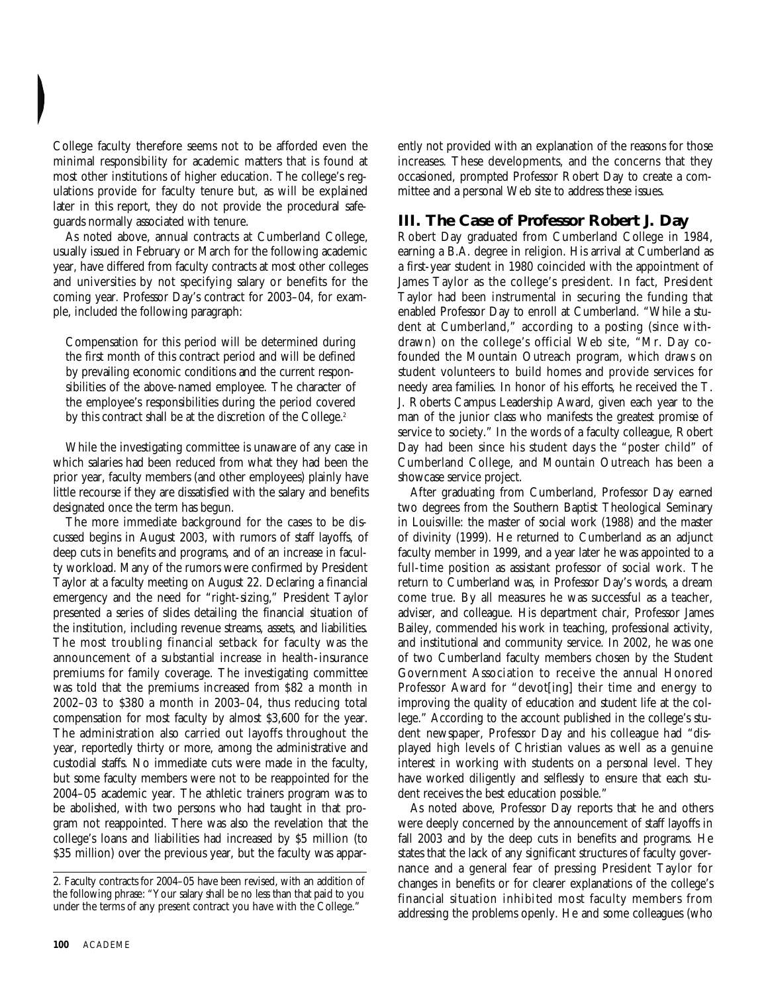College faculty therefore seems not to be afforded even the minimal responsibility for academic matters that is found at most other institutions of higher education. The college's regulations provide for faculty tenure but, as will be explained later in this report, they do not provide the procedural safeguards normally associated with tenure.

As noted above, annual contracts at Cumberland College, usually issued in February or March for the following academic year, have differed from faculty contracts at most other colleges and universities by not specifying salary or benefits for the coming year. Professor Day's contract for 2003–04, for example, included the following paragraph:

Compensation for this period will be determined during the first month of this contract period and will be defined by prevailing economic conditions and the current responsibilities of the above-named employee. The character of the employee's responsibilities during the period covered by this contract shall be at the discretion of the College.<sup>2</sup>

While the investigating committee is unaware of any case in which salaries had been reduced from what they had been the prior year, faculty members (and other employees) plainly have little recourse if they are dissatisfied with the salary and benefits designated once the term has begun.

The more immediate background for the cases to be discussed begins in August 2003, with rumors of staff layoffs, of deep cuts in benefits and programs, and of an increase in faculty workload. Many of the rumors were confirmed by President Taylor at a faculty meeting on August 22. Declaring a financial emergency and the need for "right-sizing," President Taylor presented a series of slides detailing the financial situation of the institution, including revenue streams, assets, and liabilities. The most troubling financial setback for faculty was the announcement of a substantial increase in health-insurance premiums for family coverage. The investigating committee was told that the premiums increased from \$82 a month in 2002–03 to \$380 a month in 2003–04, thus reducing total compensation for most faculty by almost \$3,600 for the year. The administration also carried out layoffs throughout the year, reportedly thirty or more, among the administrative and custodial staffs. No immediate cuts were made in the faculty, but some faculty members were not to be reappointed for the 2004–05 academic year. The athletic trainers program was to be abolished, with two persons who had taught in that program not reappointed. There was also the revelation that the college's loans and liabilities had increased by \$5 million (to \$35 million) over the previous year, but the faculty was apparently not provided with an explanation of the reasons for those increases. These developments, and the concerns that they occasioned, prompted Professor Robert Day to create a committee and a personal Web site to address these issues.

# **III. The Case of Professor Robert J. Day**

Robert Day graduated from Cumberland College in 1984, earning a B.A. degree in religion. His arrival at Cumberland as a first-year student in 1980 coincided with the appointment of James Taylor as the college's president. In fact, President Taylor had been instrumental in securing the funding that enabled Professor Day to enroll at Cumberland. "While a student at Cumberland," according to a posting (since withdrawn) on the college's official Web site, "Mr. Day cofounded the Mountain Outreach program, which draws on student volunteers to build homes and provide services for needy area families. In honor of his efforts, he received the T. J. Roberts Campus Leadership Award, given each year to the man of the junior class who manifests the greatest promise of service to society." In the words of a faculty colleague, Robert Day had been since his student days the "poster child" of Cumberland College, and Mountain Outreach has been a showcase service project.

After graduating from Cumberland, Professor Day earned two degrees from the Southern Baptist Theological Seminary in Louisville: the master of social work (1988) and the master of divinity (1999). He returned to Cumberland as an adjunct faculty member in 1999, and a year later he was appointed to a full-time position as assistant professor of social work. The return to Cumberland was, in Professor Day's words, a dream come true. By all measures he was successful as a teacher, adviser, and colleague. His department chair, Professor James Bailey, commended his work in teaching, professional activity, and institutional and community service. In 2002, he was one of two Cumberland faculty members chosen by the Student Government Association to receive the annual Honored Professor Award for "devot[ing] their time and energy to improving the quality of education and student life at the college." According to the account published in the college's student newspaper, Professor Day and his colleague had "displayed high levels of Christian values as well as a genuine interest in working with students on a personal level. They have worked diligently and selflessly to ensure that each student receives the best education possible."

As noted above, Professor Day reports that he and others were deeply concerned by the announcement of staff layoffs in fall 2003 and by the deep cuts in benefits and programs. He states that the lack of any significant structures of faculty governance and a general fear of pressing President Taylor for changes in benefits or for clearer explanations of the college's financial situation inhibited most faculty members from addressing the problems openly. He and some colleagues (who

<sup>2.</sup> Faculty contracts for 2004–05 have been revised, with an addition of the following phrase: "Your salary shall be no less than that paid to you under the terms of any present contract you have with the College."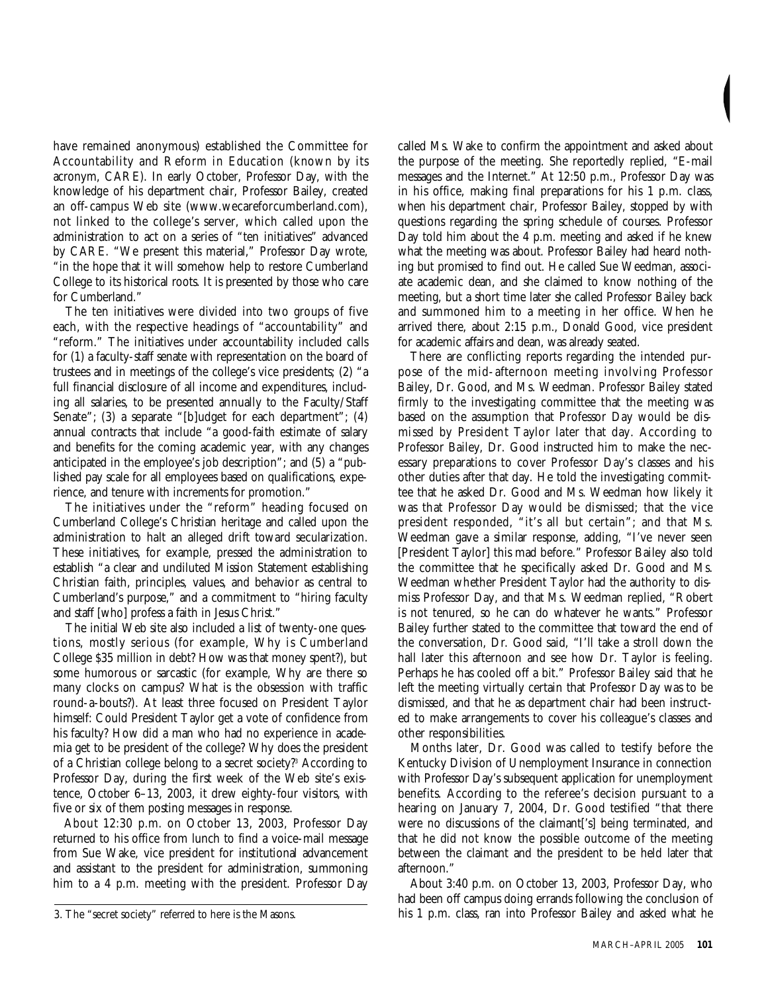have remained anonymous) established the Committee for Accountability and Reform in Education (known by its acronym, CARE). In early October, Professor Day, with the knowledge of his department chair, Professor Bailey, created an off-campus Web site (www.wecareforcumberland.com), not linked to the college's server, which called upon the administration to act on a series of "ten initiatives" advanced by CARE. "We present this material," Professor Day wrote, "in the hope that it will somehow help to restore Cumberland College to its historical roots. It is presented by those who care for Cumberland."

The ten initiatives were divided into two groups of five each, with the respective headings of "accountability" and "reform." The initiatives under accountability included calls for (1) a faculty-staff senate with representation on the board of trustees and in meetings of the college's vice presidents; (2) "a full financial disclosure of all income and expenditures, including all salaries, to be presented annually to the Faculty/Staff Senate"; (3) a separate "[b]udget for each department"; (4) annual contracts that include "a good-faith estimate of salary and benefits for the coming academic year, with any changes anticipated in the employee's job description"; and (5) a "published pay scale for all employees based on qualifications, experience, and tenure with increments for promotion."

The initiatives under the "reform" heading focused on Cumberland College's Christian heritage and called upon the administration to halt an alleged drift toward secularization. These initiatives, for example, pressed the administration to establish "a clear and undiluted Mission Statement establishing Christian faith, principles, values, and behavior as central to Cumberland's purpose," and a commitment to "hiring faculty and staff [who] profess a faith in Jesus Christ."

The initial Web site also included a list of twenty-one questions, mostly serious (for example, Why is Cumberland College \$35 million in debt? How was that money spent?), but some humorous or sarcastic (for example, Why are there so many clocks on campus? What is the obsession with traffic round-a-bouts?). At least three focused on President Taylor himself: Could President Taylor get a vote of confidence from his faculty? How did a man who had no experience in academia get to be president of the college? Why does the president of a Christian college belong to a secret society?<sup>3</sup> According to Professor Day, during the first week of the Web site's existence, October 6–13, 2003, it drew eighty-four visitors, with five or six of them posting messages in response.

About 12:30 p.m. on October 13, 2003, Professor Day returned to his office from lunch to find a voice-mail message from Sue Wake, vice president for institutional advancement and assistant to the president for administration, summoning him to a 4 p.m. meeting with the president. Professor Day

called Ms. Wake to confirm the appointment and asked about the purpose of the meeting. She reportedly replied, "E-mail messages and the Internet." At 12:50 p.m., Professor Day was in his office, making final preparations for his 1 p.m. class, when his department chair, Professor Bailey, stopped by with questions regarding the spring schedule of courses. Professor Day told him about the 4 p.m. meeting and asked if he knew what the meeting was about. Professor Bailey had heard nothing but promised to find out. He called Sue Weedman, associate academic dean, and she claimed to know nothing of the meeting, but a short time later she called Professor Bailey back and summoned him to a meeting in her office. When he arrived there, about 2:15 p.m., Donald Good, vice president for academic affairs and dean, was already seated.

There are conflicting reports regarding the intended purpose of the mid-afternoon meeting involving Professor Bailey, Dr. Good, and Ms. Weedman. Professor Bailey stated firmly to the investigating committee that the meeting was based on the assumption that Professor Day would be dismissed by President Taylor later that day. According to Professor Bailey, Dr. Good instructed him to make the necessary preparations to cover Professor Day's classes and his other duties after that day. He told the investigating committee that he asked Dr. Good and Ms. Weedman how likely it was that Professor Day would be dismissed; that the vice president responded, "it's all but certain"; and that Ms. Weedman gave a similar response, adding, "I've never seen [President Taylor] this mad before." Professor Bailey also told the committee that he specifically asked Dr. Good and Ms. Weedman whether President Taylor had the authority to dismiss Professor Day, and that Ms. Weedman replied, "Robert is not tenured, so he can do whatever he wants." Professor Bailey further stated to the committee that toward the end of the conversation, Dr. Good said, "I'll take a stroll down the hall later this afternoon and see how Dr. Taylor is feeling. Perhaps he has cooled off a bit." Professor Bailey said that he left the meeting virtually certain that Professor Day was to be dismissed, and that he as department chair had been instructed to make arrangements to cover his colleague's classes and other responsibilities.

Months later, Dr. Good was called to testify before the Kentucky Division of Unemployment Insurance in connection with Professor Day's subsequent application for unemployment benefits. According to the referee's decision pursuant to a hearing on January 7, 2004, Dr. Good testified "that there were no discussions of the claimant['s] being terminated, and that he did not know the possible outcome of the meeting between the claimant and the president to be held later that afternoon."

About 3:40 p.m. on October 13, 2003, Professor Day, who had been off campus doing errands following the conclusion of his 1 p.m. class, ran into Professor Bailey and asked what he

<sup>3.</sup> The "secret society" referred to here is the Masons.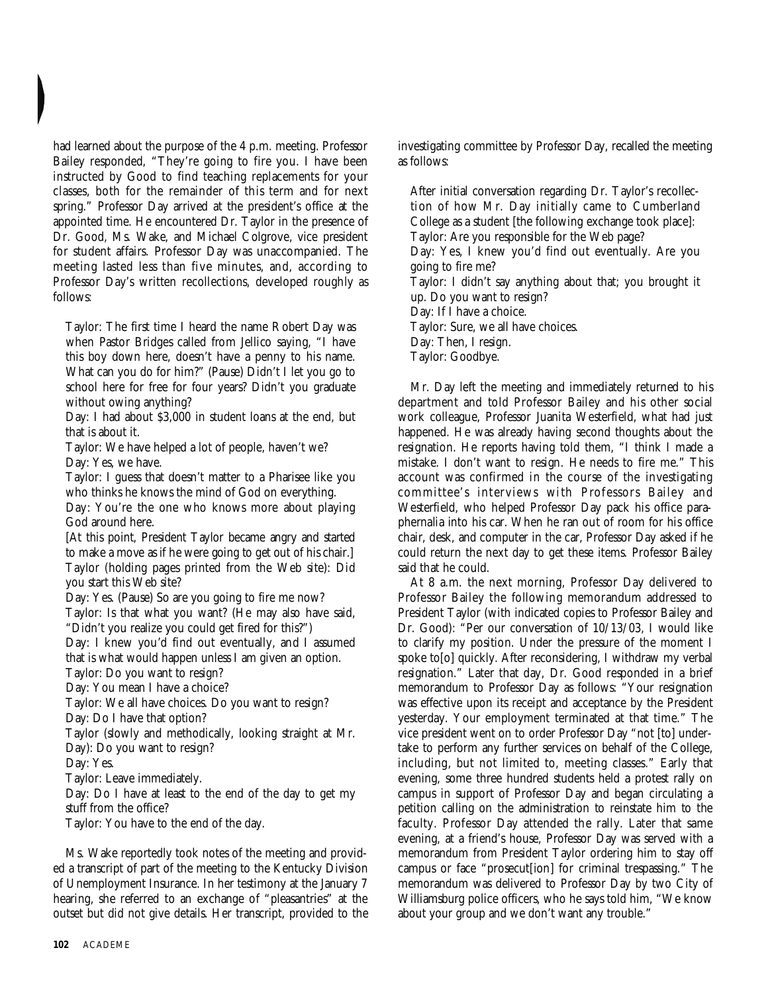had learned about the purpose of the 4 p.m. meeting. Professor Bailey responded, "They're going to fire you. I have been instructed by Good to find teaching replacements for your classes, both for the remainder of this term and for next spring." Professor Day arrived at the president's office at the appointed time. He encountered Dr. Taylor in the presence of Dr. Good, Ms. Wake, and Michael Colgrove, vice president for student affairs. Professor Day was unaccompanied. The meeting lasted less than five minutes, and, according to Professor Day's written recollections, developed roughly as follows:

Taylor: The first time I heard the name Robert Day was when Pastor Bridges called from Jellico saying, "I have this boy down here, doesn't have a penny to his name. What can you do for him?" (Pause) Didn't I let you go to school here for free for four years? Didn't you graduate without owing anything?

Day: I had about \$3,000 in student loans at the end, but that is about it.

Taylor: We have helped a lot of people, haven't we? Day: Yes, we have.

Taylor: I guess that doesn't matter to a Pharisee like you who thinks he knows the mind of God on everything.

Day: You're the one who knows more about playing God around here.

[At this point, President Taylor became angry and started to make a move as if he were going to get out of his chair.] Taylor (holding pages printed from the Web site): Did you start this Web site?

Day: Yes. (Pause) So are you going to fire me now?

Taylor: Is that what you want? (He may also have said, "Didn't you realize you could get fired for this?")

Day: I knew you'd find out eventually, and I assumed that is what would happen unless I am given an option.

Taylor: Do you want to resign?

Day: You mean I have a choice?

Taylor: We all have choices. Do you want to resign?

Day: Do I have that option?

Taylor (slowly and methodically, looking straight at Mr. Day): Do you want to resign?

Day: Yes.

Taylor: Leave immediately.

Day: Do I have at least to the end of the day to get my stuff from the office?

Taylor: You have to the end of the day.

Ms. Wake reportedly took notes of the meeting and provided a transcript of part of the meeting to the Kentucky Division of Unemployment Insurance. In her testimony at the January 7 hearing, she referred to an exchange of "pleasantries" at the outset but did not give details. Her transcript, provided to the investigating committee by Professor Day, recalled the meeting as follows:

After initial conversation regarding Dr. Taylor's recollection of how Mr. Day initially came to Cumberland College as a student [the following exchange took place]: Taylor: Are you responsible for the Web page? Day: Yes, I knew you'd find out eventually. Are you going to fire me? Taylor: I didn't say anything about that; you brought it up. Do you want to resign? Day: If I have a choice. Taylor: Sure, we all have choices. Day: Then, I resign. Taylor: Goodbye.

Mr. Day left the meeting and immediately returned to his department and told Professor Bailey and his other social work colleague, Professor Juanita Westerfield, what had just happened. He was already having second thoughts about the resignation. He reports having told them, "I think I made a mistake. I don't want to resign. He needs to fire me." This account was confirmed in the course of the investigating committee's interviews with Professors Bailey and Westerfield, who helped Professor Day pack his office paraphernalia into his car. When he ran out of room for his office chair, desk, and computer in the car, Professor Day asked if he could return the next day to get these items. Professor Bailey said that he could.

At 8 a.m. the next morning, Professor Day delivered to Professor Bailey the following memorandum addressed to President Taylor (with indicated copies to Professor Bailey and Dr. Good): "Per our conversation of 10/13/03, I would like to clarify my position. Under the pressure of the moment I spoke to[o] quickly. After reconsidering, I withdraw my verbal resignation." Later that day, Dr. Good responded in a brief memorandum to Professor Day as follows: "Your resignation was effective upon its receipt and acceptance by the President yesterday. Your employment terminated at that time." The vice president went on to order Professor Day "not [to] undertake to perform any further services on behalf of the College, including, but not limited to, meeting classes." Early that evening, some three hundred students held a protest rally on campus in support of Professor Day and began circulating a petition calling on the administration to reinstate him to the faculty. Professor Day attended the rally. Later that same evening, at a friend's house, Professor Day was served with a memorandum from President Taylor ordering him to stay off campus or face "prosecut[ion] for criminal trespassing." The memorandum was delivered to Professor Day by two City of Williamsburg police officers, who he says told him, "We know about your group and we don't want any trouble."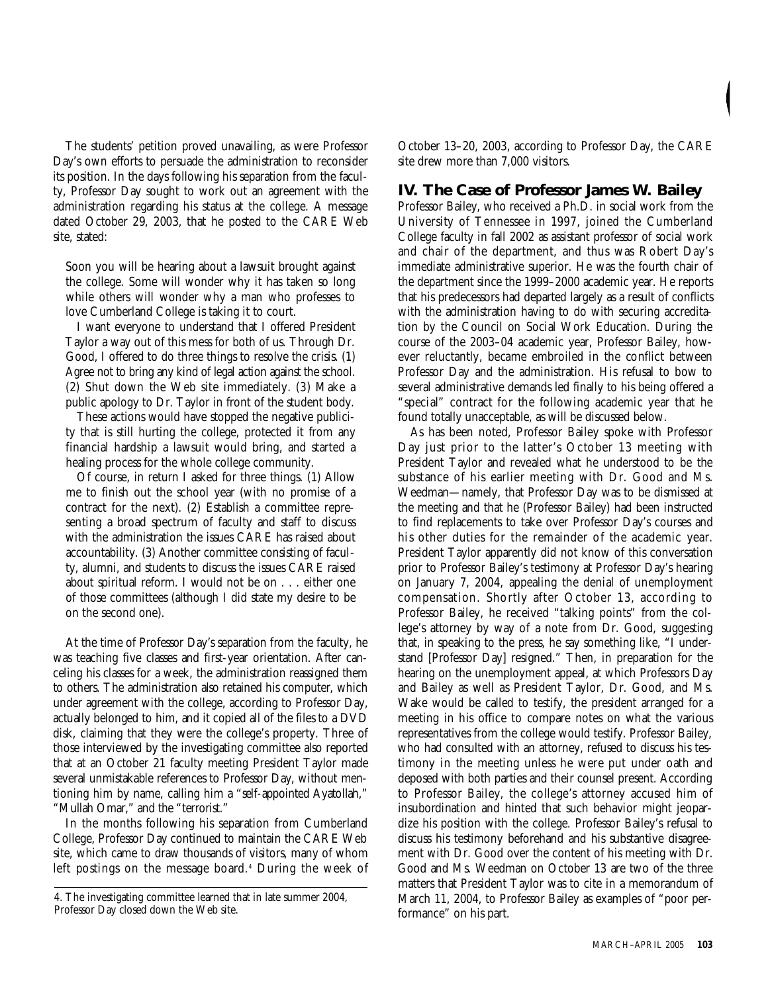The students' petition proved unavailing, as were Professor Day's own efforts to persuade the administration to reconsider its position. In the days following his separation from the faculty, Professor Day sought to work out an agreement with the administration regarding his status at the college. A message dated October 29, 2003, that he posted to the CARE Web site, stated:

Soon you will be hearing about a lawsuit brought against the college. Some will wonder why it has taken so long while others will wonder why a man who professes to love Cumberland College is taking it to court.

I want everyone to understand that I offered President Taylor a way out of this mess for both of us. Through Dr. Good, I offered to do three things to resolve the crisis. (1) Agree not to bring any kind of legal action against the school. (2) Shut down the Web site immediately. (3) Make a public apology to Dr. Taylor in front of the student body.

These actions would have stopped the negative publicity that is still hurting the college, protected it from any financial hardship a lawsuit would bring, and started a healing process for the whole college community.

Of course, in return I asked for three things. (1) Allow me to finish out the school year (with no promise of a contract for the next). (2) Establish a committee representing a broad spectrum of faculty and staff to discuss with the administration the issues CARE has raised about accountability. (3) Another committee consisting of faculty, alumni, and students to discuss the issues CARE raised about spiritual reform. I would not be on . . . either one of those committees (although I did state my desire to be on the second one).

At the time of Professor Day's separation from the faculty, he was teaching five classes and first-year orientation. After canceling his classes for a week, the administration reassigned them to others. The administration also retained his computer, which under agreement with the college, according to Professor Day, actually belonged to him, and it copied all of the files to a DVD disk, claiming that they were the college's property. Three of those interviewed by the investigating committee also reported that at an October 21 faculty meeting President Taylor made several unmistakable references to Professor Day, without mentioning him by name, calling him a "self-appointed Ayatollah," "Mullah Omar," and the "terrorist."

In the months following his separation from Cumberland College, Professor Day continued to maintain the CARE Web site, which came to draw thousands of visitors, many of whom left postings on the message board.<sup>4</sup> During the week of

October 13–20, 2003, according to Professor Day, the CARE site drew more than 7,000 visitors.

### **IV. The Case of Professor James W. Bailey**

Professor Bailey, who received a Ph.D. in social work from the University of Tennessee in 1997, joined the Cumberland College faculty in fall 2002 as assistant professor of social work and chair of the department, and thus was Robert Day's immediate administrative superior. He was the fourth chair of the department since the 1999–2000 academic year. He reports that his predecessors had departed largely as a result of conflicts with the administration having to do with securing accreditation by the Council on Social Work Education. During the course of the 2003–04 academic year, Professor Bailey, however reluctantly, became embroiled in the conflict between Professor Day and the administration. His refusal to bow to several administrative demands led finally to his being offered a "special" contract for the following academic year that he found totally unacceptable, as will be discussed below.

As has been noted, Professor Bailey spoke with Professor Day just prior to the latter's October 13 meeting with President Taylor and revealed what he understood to be the substance of his earlier meeting with Dr. Good and Ms. Weedman—namely, that Professor Day was to be dismissed at the meeting and that he (Professor Bailey) had been instructed to find replacements to take over Professor Day's courses and his other duties for the remainder of the academic year. President Taylor apparently did not know of this conversation prior to Professor Bailey's testimony at Professor Day's hearing on January 7, 2004, appealing the denial of unemployment compensation. Shortly after October 13, according to Professor Bailey, he received "talking points" from the college's attorney by way of a note from Dr. Good, suggesting that, in speaking to the press, he say something like, "I understand [Professor Day] resigned." Then, in preparation for the hearing on the unemployment appeal, at which Professors Day and Bailey as well as President Taylor, Dr. Good, and Ms. Wake would be called to testify, the president arranged for a meeting in his office to compare notes on what the various representatives from the college would testify. Professor Bailey, who had consulted with an attorney, refused to discuss his testimony in the meeting unless he were put under oath and deposed with both parties and their counsel present. According to Professor Bailey, the college's attorney accused him of insubordination and hinted that such behavior might jeopardize his position with the college. Professor Bailey's refusal to discuss his testimony beforehand and his substantive disagreement with Dr. Good over the content of his meeting with Dr. Good and Ms. Weedman on October 13 are two of the three matters that President Taylor was to cite in a memorandum of March 11, 2004, to Professor Bailey as examples of "poor performance" on his part.

<sup>4.</sup> The investigating committee learned that in late summer 2004, Professor Day closed down the Web site.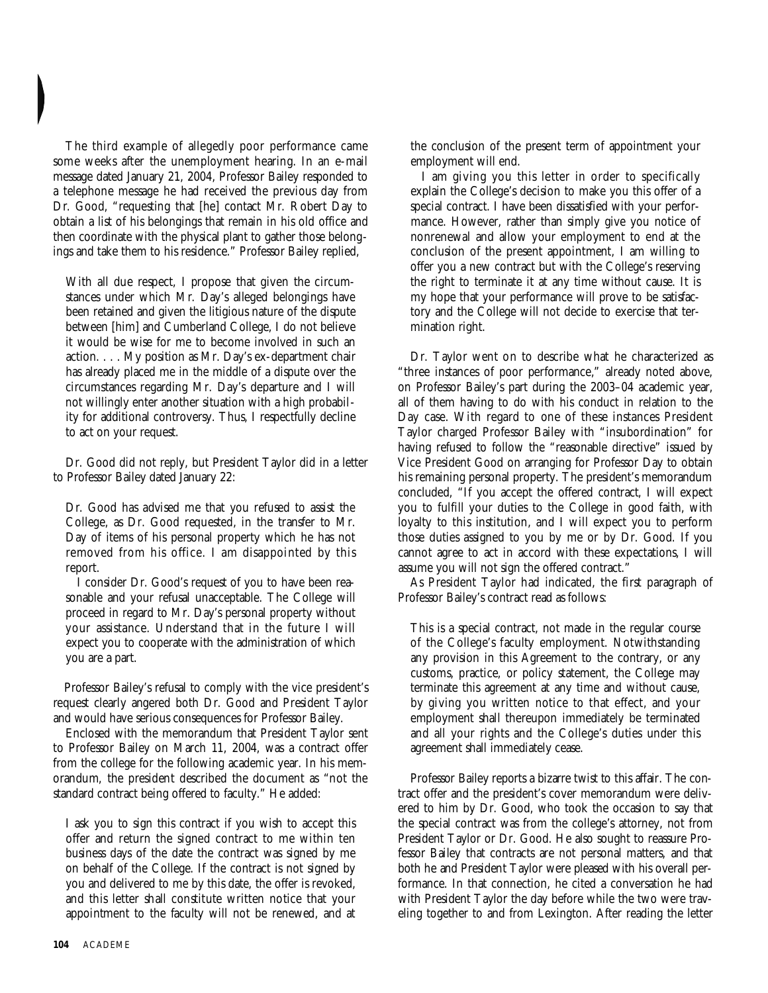The third example of allegedly poor performance came some weeks after the unemployment hearing. In an e-mail message dated January 21, 2004, Professor Bailey responded to a telephone message he had received the previous day from Dr. Good, "requesting that [he] contact Mr. Robert Day to obtain a list of his belongings that remain in his old office and then coordinate with the physical plant to gather those belongings and take them to his residence." Professor Bailey replied,

With all due respect, I propose that given the circumstances under which Mr. Day's alleged belongings have been retained and given the litigious nature of the dispute between [him] and Cumberland College, I do not believe it would be wise for me to become involved in such an action. . . . My position as Mr. Day's ex-department chair has already placed me in the middle of a dispute over the circumstances regarding Mr. Day's departure and I will not willingly enter another situation with a high probability for additional controversy. Thus, I respectfully decline to act on your request.

Dr. Good did not reply, but President Taylor did in a letter to Professor Bailey dated January 22:

Dr. Good has advised me that you refused to assist the College, as Dr. Good requested, in the transfer to Mr. Day of items of his personal property which he has not removed from his office. I am disappointed by this report.

I consider Dr. Good's request of you to have been reasonable and your refusal unacceptable. The College will proceed in regard to Mr. Day's personal property without your assistance. Understand that in the future I will expect you to cooperate with the administration of which you are a part.

Professor Bailey's refusal to comply with the vice president's request clearly angered both Dr. Good and President Taylor and would have serious consequences for Professor Bailey.

Enclosed with the memorandum that President Taylor sent to Professor Bailey on March 11, 2004, was a contract offer from the college for the following academic year. In his memorandum, the president described the document as "not the standard contract being offered to faculty." He added:

I ask you to sign this contract if you wish to accept this offer and return the signed contract to me within ten business days of the date the contract was signed by me on behalf of the College. If the contract is not signed by you and delivered to me by this date, the offer is revoked, and this letter shall constitute written notice that your appointment to the faculty will not be renewed, and at the conclusion of the present term of appointment your employment will end.

I am giving you this letter in order to specifically explain the College's decision to make you this offer of a special contract. I have been dissatisfied with your performance. However, rather than simply give you notice of nonrenewal and allow your employment to end at the conclusion of the present appointment, I am willing to offer you a new contract but with the College's reserving the right to terminate it at any time without cause. It is my hope that your performance will prove to be satisfactory and the College will not decide to exercise that termination right.

Dr. Taylor went on to describe what he characterized as "three instances of poor performance," already noted above, on Professor Bailey's part during the 2003–04 academic year, all of them having to do with his conduct in relation to the Day case. With regard to one of these instances President Taylor charged Professor Bailey with "insubordination" for having refused to follow the "reasonable directive" issued by Vice President Good on arranging for Professor Day to obtain his remaining personal property. The president's memorandum concluded, "If you accept the offered contract, I will expect you to fulfill your duties to the College in good faith, with loyalty to this institution, and I will expect you to perform those duties assigned to you by me or by Dr. Good. If you cannot agree to act in accord with these expectations, I will assume you will not sign the offered contract."

As President Taylor had indicated, the first paragraph of Professor Bailey's contract read as follows:

This is a special contract, not made in the regular course of the College's faculty employment. Notwithstanding any provision in this Agreement to the contrary, or any customs, practice, or policy statement, the College may terminate this agreement at any time and without cause, by giving you written notice to that effect, and your employment shall thereupon immediately be terminated and all your rights and the College's duties under this agreement shall immediately cease.

Professor Bailey reports a bizarre twist to this affair. The contract offer and the president's cover memorandum were delivered to him by Dr. Good, who took the occasion to say that the special contract was from the college's attorney, not from President Taylor or Dr. Good. He also sought to reassure Professor Bailey that contracts are not personal matters, and that both he and President Taylor were pleased with his overall performance. In that connection, he cited a conversation he had with President Taylor the day before while the two were traveling together to and from Lexington. After reading the letter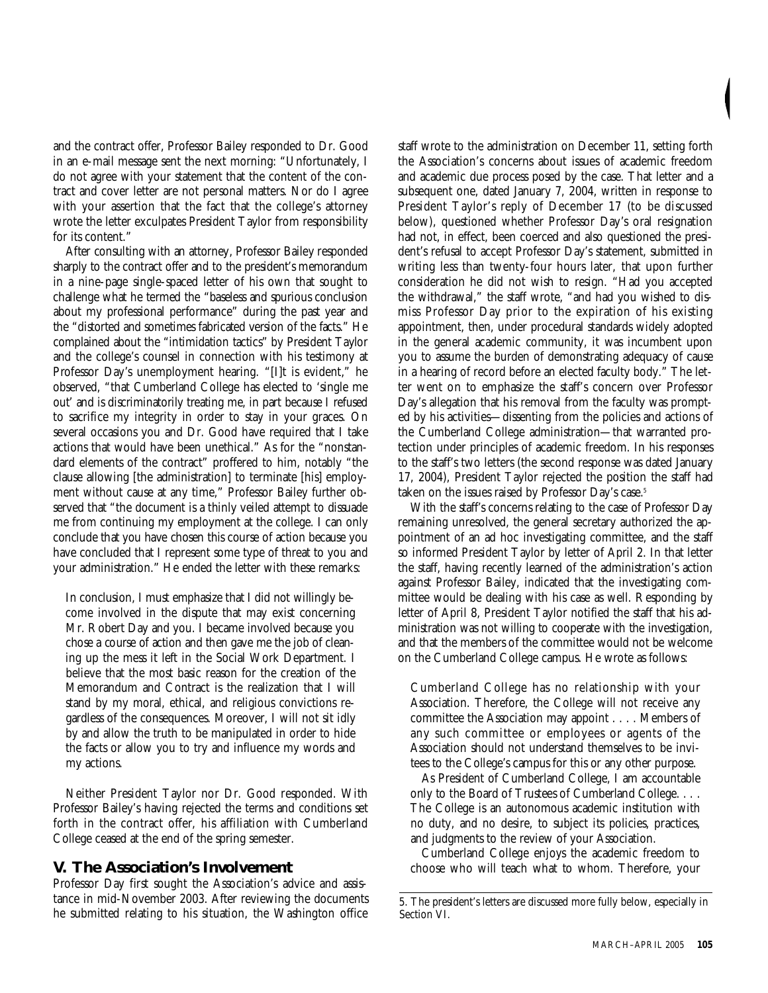and the contract offer, Professor Bailey responded to Dr. Good in an e-mail message sent the next morning: "Unfortunately, I do not agree with your statement that the content of the contract and cover letter are not personal matters. Nor do I agree with your assertion that the fact that the college's attorney wrote the letter exculpates President Taylor from responsibility for its content."

After consulting with an attorney, Professor Bailey responded sharply to the contract offer and to the president's memorandum in a nine-page single-spaced letter of his own that sought to challenge what he termed the "baseless and spurious conclusion about my professional performance" during the past year and the "distorted and sometimes fabricated version of the facts." He complained about the "intimidation tactics" by President Taylor and the college's counsel in connection with his testimony at Professor Day's unemployment hearing. "[I]t is evident," he observed, "that Cumberland College has elected to 'single me out' and is discriminatorily treating me, in part because I refused to sacrifice my integrity in order to stay in your graces. On several occasions you and Dr. Good have required that I take actions that would have been unethical." As for the "nonstandard elements of the contract" proffered to him, notably "the clause allowing [the administration] to terminate [his] employment without cause at any time," Professor Bailey further observed that "the document is a thinly veiled attempt to dissuade me from continuing my employment at the college. I can only conclude that you have chosen this course of action because you have concluded that I represent some type of threat to you and your administration." He ended the letter with these remarks:

In conclusion, I must emphasize that I did not willingly become involved in the dispute that may exist concerning Mr. Robert Day and you. I became involved because you chose a course of action and then gave me the job of cleaning up the mess it left in the Social Work Department. I believe that the most basic reason for the creation of the Memorandum and Contract is the realization that I will stand by my moral, ethical, and religious convictions regardless of the consequences. Moreover, I will not sit idly by and allow the truth to be manipulated in order to hide the facts or allow you to try and influence my words and my actions.

Neither President Taylor nor Dr. Good responded. With Professor Bailey's having rejected the terms and conditions set forth in the contract offer, his affiliation with Cumberland College ceased at the end of the spring semester.

# **V. The Association's Involvement**

Professor Day first sought the Association's advice and assistance in mid-November 2003. After reviewing the documents he submitted relating to his situation, the Washington office staff wrote to the administration on December 11, setting forth the Association's concerns about issues of academic freedom and academic due process posed by the case. That letter and a subsequent one, dated January 7, 2004, written in response to President Taylor's reply of December 17 (to be discussed below), questioned whether Professor Day's oral resignation had not, in effect, been coerced and also questioned the president's refusal to accept Professor Day's statement, submitted in writing less than twenty-four hours later, that upon further consideration he did not wish to resign. "Had you accepted the withdrawal," the staff wrote, "and had you wished to dismiss Professor Day prior to the expiration of his existing appointment, then, under procedural standards widely adopted in the general academic community, it was incumbent upon you to assume the burden of demonstrating adequacy of cause in a hearing of record before an elected faculty body." The letter went on to emphasize the staff's concern over Professor Day's allegation that his removal from the faculty was prompted by his activities—dissenting from the policies and actions of the Cumberland College administration—that warranted protection under principles of academic freedom. In his responses to the staff's two letters (the second response was dated January 17, 2004), President Taylor rejected the position the staff had taken on the issues raised by Professor Day's case.<sup>5</sup>

With the staff's concerns relating to the case of Professor Day remaining unresolved, the general secretary authorized the appointment of an ad hoc investigating committee, and the staff so informed President Taylor by letter of April 2. In that letter the staff, having recently learned of the administration's action against Professor Bailey, indicated that the investigating committee would be dealing with his case as well. Responding by letter of April 8, President Taylor notified the staff that his administration was not willing to cooperate with the investigation, and that the members of the committee would not be welcome on the Cumberland College campus. He wrote as follows:

Cumberland College has no relationship with your Association. Therefore, the College will not receive any committee the Association may appoint . . . . Members of any such committee or employees or agents of the Association should not understand themselves to be invitees to the College's campus for this or any other purpose.

As President of Cumberland College, I am accountable only to the Board of Trustees of Cumberland College. . . . The College is an autonomous academic institution with no duty, and no desire, to subject its policies, practices, and judgments to the review of your Association.

Cumberland College enjoys the academic freedom to choose who will teach what to whom. Therefore, your

<sup>5.</sup> The president's letters are discussed more fully below, especially in Section VI.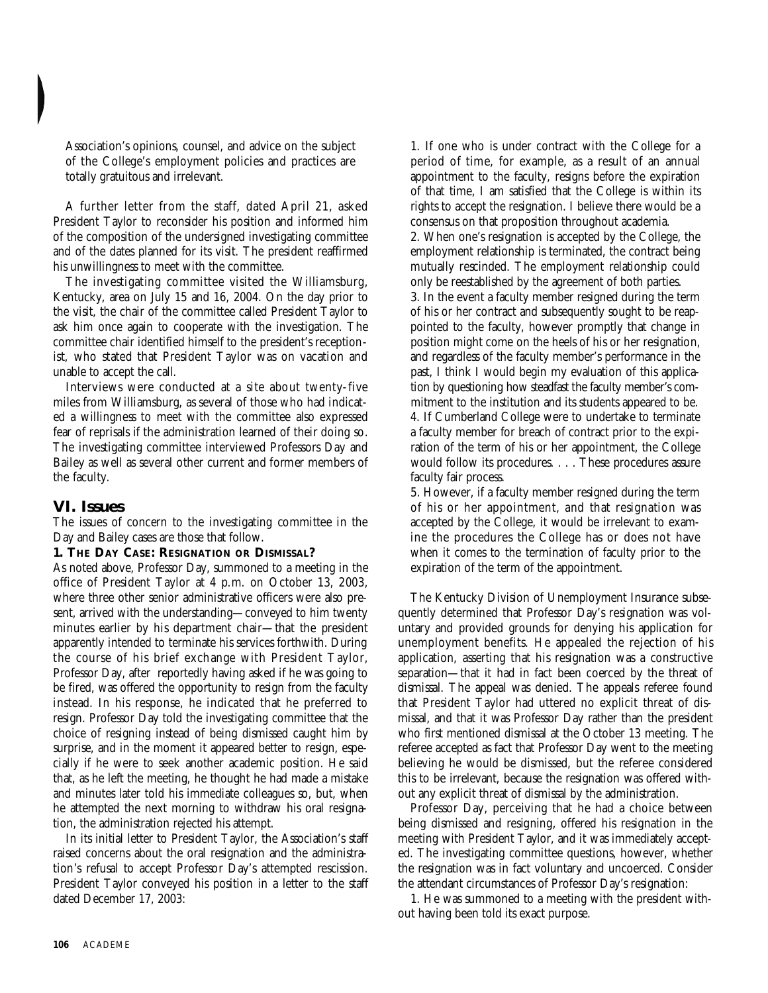Association's opinions, counsel, and advice on the subject of the College's employment policies and practices are totally gratuitous and irrelevant.

A further letter from the staff, dated April 21, asked President Taylor to reconsider his position and informed him of the composition of the undersigned investigating committee and of the dates planned for its visit. The president reaffirmed his unwillingness to meet with the committee.

The investigating committee visited the Williamsburg, Kentucky, area on July 15 and 16, 2004. On the day prior to the visit, the chair of the committee called President Taylor to ask him once again to cooperate with the investigation. The committee chair identified himself to the president's receptionist, who stated that President Taylor was on vacation and unable to accept the call.

Interviews were conducted at a site about twenty-five miles from Williamsburg, as several of those who had indicated a willingness to meet with the committee also expressed fear of reprisals if the administration learned of their doing so. The investigating committee interviewed Professors Day and Bailey as well as several other current and former members of the faculty.

# **VI. Issues**

The issues of concern to the investigating committee in the Day and Bailey cases are those that follow.

#### **1. THE DAY CASE: RESIGNATION OR DISMISSAL?**

As noted above, Professor Day, summoned to a meeting in the office of President Taylor at 4 p.m. on October 13, 2003, where three other senior administrative officers were also present, arrived with the understanding—conveyed to him twenty minutes earlier by his department chair—that the president apparently intended to terminate his services forthwith. During the course of his brief exchange with President Taylor, Professor Day, after reportedly having asked if he was going to be fired, was offered the opportunity to resign from the faculty instead. In his response, he indicated that he preferred to resign. Professor Day told the investigating committee that the choice of resigning instead of being dismissed caught him by surprise, and in the moment it appeared better to resign, especially if he were to seek another academic position. He said that, as he left the meeting, he thought he had made a mistake and minutes later told his immediate colleagues so, but, when he attempted the next morning to withdraw his oral resignation, the administration rejected his attempt.

In its initial letter to President Taylor, the Association's staff raised concerns about the oral resignation and the administration's refusal to accept Professor Day's attempted rescission. President Taylor conveyed his position in a letter to the staff dated December 17, 2003:

1. If one who is under contract with the College for a period of time, for example, as a result of an annual appointment to the faculty, resigns before the expiration of that time, I am satisfied that the College is within its rights to accept the resignation. I believe there would be a consensus on that proposition throughout academia.

2. When one's resignation is accepted by the College, the employment relationship is terminated, the contract being mutually rescinded. The employment relationship could only be reestablished by the agreement of both parties.

3. In the event a faculty member resigned during the term of his or her contract and subsequently sought to be reappointed to the faculty, however promptly that change in position might come on the heels of his or her resignation, and regardless of the faculty member's performance in the past, I think I would begin my evaluation of this application by questioning how steadfast the faculty member's commitment to the institution and its students appeared to be. 4. If Cumberland College were to undertake to terminate a faculty member for breach of contract prior to the expiration of the term of his or her appointment, the College would follow its procedures. . . . These procedures assure faculty fair process.

5. However, if a faculty member resigned during the term of his or her appointment, and that resignation was accepted by the College, it would be irrelevant to examine the procedures the College has or does not have when it comes to the termination of faculty prior to the expiration of the term of the appointment.

The Kentucky Division of Unemployment Insurance subsequently determined that Professor Day's resignation was voluntary and provided grounds for denying his application for unemployment benefits. He appealed the rejection of his application, asserting that his resignation was a constructive separation—that it had in fact been coerced by the threat of dismissal. The appeal was denied. The appeals referee found that President Taylor had uttered no explicit threat of dismissal, and that it was Professor Day rather than the president who first mentioned dismissal at the October 13 meeting. The referee accepted as fact that Professor Day went to the meeting believing he would be dismissed, but the referee considered this to be irrelevant, because the resignation was offered without any explicit threat of dismissal by the administration.

Professor Day, perceiving that he had a choice between being dismissed and resigning, offered his resignation in the meeting with President Taylor, and it was immediately accepted. The investigating committee questions, however, whether the resignation was in fact voluntary and uncoerced. Consider the attendant circumstances of Professor Day's resignation:

1. He was summoned to a meeting with the president without having been told its exact purpose.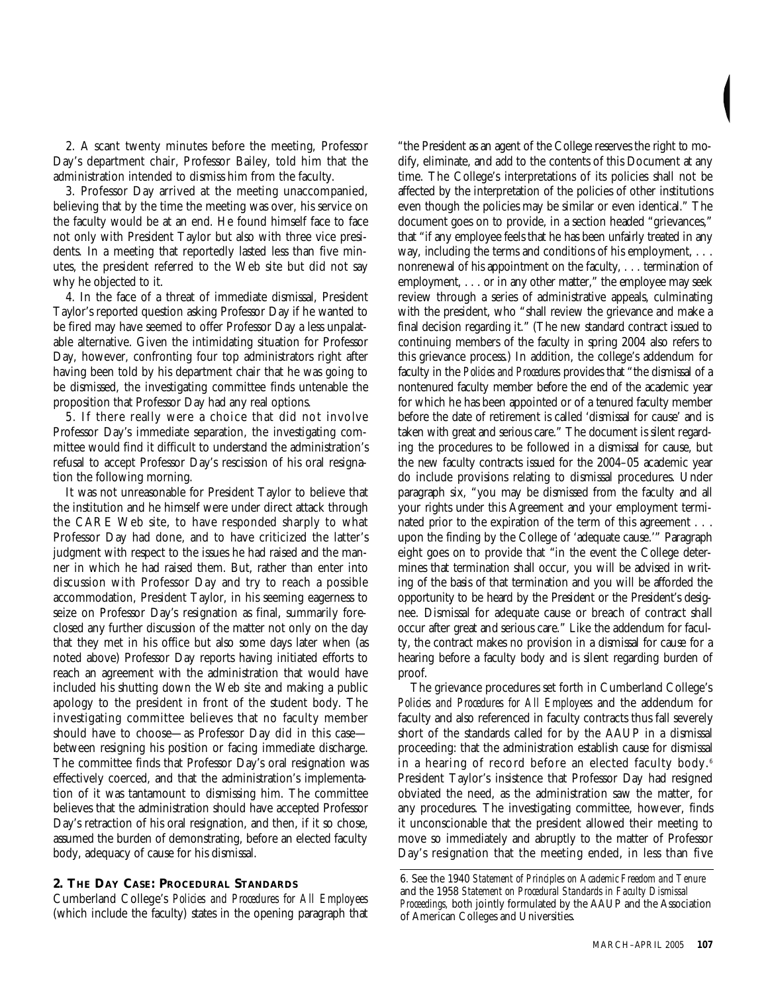2. A scant twenty minutes before the meeting, Professor Day's department chair, Professor Bailey, told him that the administration intended to dismiss him from the faculty.

3. Professor Day arrived at the meeting unaccompanied, believing that by the time the meeting was over, his service on the faculty would be at an end. He found himself face to face not only with President Taylor but also with three vice presidents. In a meeting that reportedly lasted less than five minutes, the president referred to the Web site but did not say why he objected to it.

4. In the face of a threat of immediate dismissal, President Taylor's reported question asking Professor Day if he wanted to be fired may have seemed to offer Professor Day a less unpalatable alternative. Given the intimidating situation for Professor Day, however, confronting four top administrators right after having been told by his department chair that he was going to be dismissed, the investigating committee finds untenable the proposition that Professor Day had any real options.

5. If there really were a choice that did not involve Professor Day's immediate separation, the investigating committee would find it difficult to understand the administration's refusal to accept Professor Day's rescission of his oral resignation the following morning.

It was not unreasonable for President Taylor to believe that the institution and he himself were under direct attack through the CARE Web site, to have responded sharply to what Professor Day had done, and to have criticized the latter's judgment with respect to the issues he had raised and the manner in which he had raised them. But, rather than enter into discussion with Professor Day and try to reach a possible accommodation, President Taylor, in his seeming eagerness to seize on Professor Day's resignation as final, summarily foreclosed any further discussion of the matter not only on the day that they met in his office but also some days later when (as noted above) Professor Day reports having initiated efforts to reach an agreement with the administration that would have included his shutting down the Web site and making a public apology to the president in front of the student body. The investigating committee believes that no faculty member should have to choose—as Professor Day did in this case between resigning his position or facing immediate discharge. The committee finds that Professor Day's oral resignation was effectively coerced, and that the administration's implementation of it was tantamount to dismissing him. The committee believes that the administration should have accepted Professor Day's retraction of his oral resignation, and then, if it so chose, assumed the burden of demonstrating, before an elected faculty body, adequacy of cause for his dismissal.

#### **2. THE DAY CASE: PROCEDURAL STANDARDS**

C umberland College's *Policies and Procedures for All Employees* (which include the faculty) states in the opening paragraph that

"the President as an agent of the College reserves the right to modify, eliminate, and add to the contents of this Document at any time. The College's interpretations of its policies shall not be affected by the interpretation of the policies of other institutions even though the policies may be similar or even identical." The document goes on to provide, in a section headed "grievances," that "if any employee feels that he has been unfairly treated in any way, including the terms and conditions of his employment, . . . nonrenewal of his appointment on the faculty, . . . termination of employment, . . . or in any other matter," the employee may seek review through a series of administrative appeals, culminating with the president, who "shall review the grievance and make a final decision regarding it." (The new standard contract issued to continuing members of the faculty in spring 2004 also refers to this grievance process.) In addition, the college's addendum for faculty in the *Policies and Procedures* provides that "the dismissal of a nontenured faculty member before the end of the academic year for which he has been appointed or of a tenured faculty member before the date of retirement is called 'dismissal for cause' and is taken with great and serious care." The document is silent regarding the procedures to be followed in a dismissal for cause, but the new faculty contracts issued for the 2004–05 academic year do include provisions relating to dismissal procedures. Under paragraph six, "you may be dismissed from the faculty and all your rights under this Agreement and your employment terminated prior to the expiration of the term of this agreement . . . upon the finding by the College of 'adequate cause.'" Paragraph eight goes on to provide that "in the event the College determines that termination shall occur, you will be advised in writing of the basis of that termination and you will be afforded the opportunity to be heard by the President or the President's designee. Dismissal for adequate cause or breach of contract shall occur after great and serious care." Like the addendum for faculty, the contract makes no provision in a dismissal for cause for a hearing before a faculty body and is silent regarding burden of proof.

The grievance procedures set forth in Cumberland College's *Policies and Procedures for All Employees* and the addendum for faculty and also referenced in faculty contracts thus fall severely short of the standards called for by the AAUP in a dismissal proceeding: that the administration establish cause for dismissal in a hearing of record before an elected faculty body.<sup>6</sup> President Taylor's insistence that Professor Day had resigned obviated the need, as the administration saw the matter, for any procedures. The investigating committee, however, finds it unconscionable that the president allowed their meeting to move so immediately and abruptly to the matter of Professor Day's resignation that the meeting ended, in less than five

<sup>6.</sup> See the 1940 *Statement of Principles on Academic Freedom and Tenure* and the 1958 *Statement on Procedural Standards in Faculty Dismissal Proceedings,* both jointly formulated by the AAUP and the Association of American Colleges and Universities.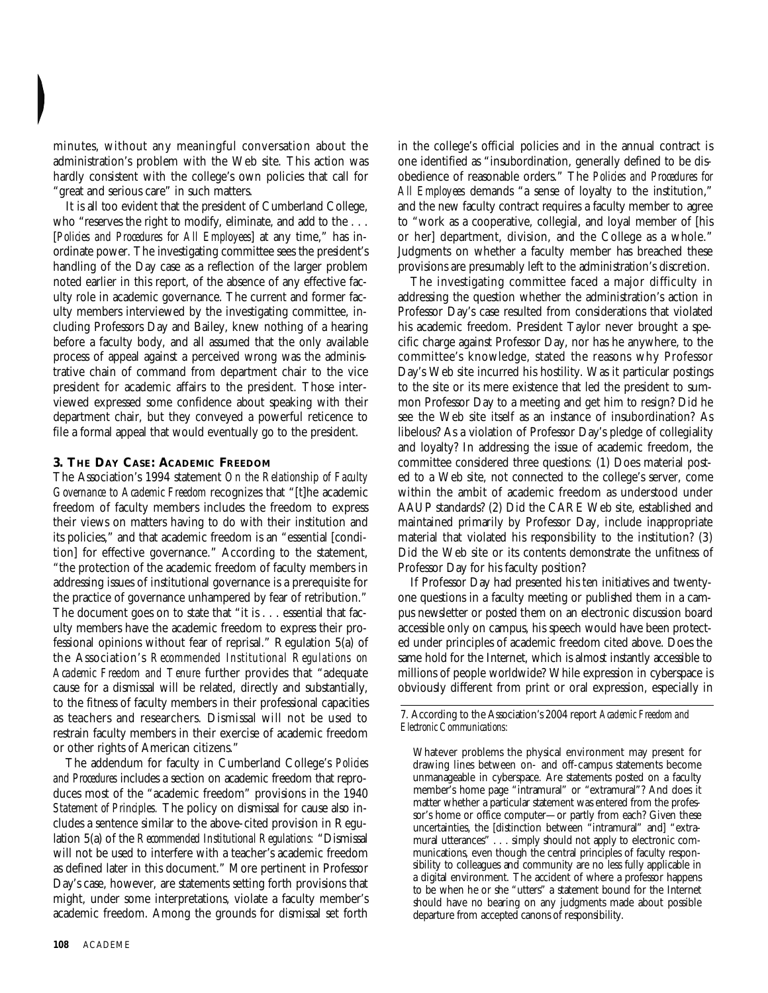minutes, without any meaningful conversation about the administration's problem with the Web site. This action was hardly consistent with the college's own policies that call for "great and serious care" in such matters.

It is all too evident that the president of Cumberland College, who "reserves the right to modify, eliminate, and add to the . . . [*Policies and Procedures for All Employees*] at any time," has inordinate power. The investigating committee sees the president's handling of the Day case as a reflection of the larger problem noted earlier in this report, of the absence of any effective faculty role in academic governance. The current and former faculty members interviewed by the investigating committee, including Professors Day and Bailey, knew nothing of a hearing before a faculty body, and all assumed that the only available process of appeal against a perceived wrong was the administrative chain of command from department chair to the vice president for academic affairs to the president. Those interviewed expressed some confidence about speaking with their department chair, but they conveyed a powerful reticence to file a formal appeal that would eventually go to the president.

#### **3. THE DAY CASE: ACADEMIC FREEDOM**

The Association's 1994 statement *On the Relationship of Faculty Governance to Academic Freedom* recognizes that "[t]he academic freedom of faculty members includes the freedom to express their views on matters having to do with their institution and its policies," and that academic freedom is an "essential [condition] for effective governance." According to the statement, "the protection of the academic freedom of faculty members in addressing issues of institutional governance is a prerequisite for the practice of governance unhampered by fear of retribution." The document goes on to state that "it is . . . essential that faculty members have the academic freedom to express their professional opinions without fear of reprisal." Regulation 5(a) of the Association's *Recommended Institutional Regulations on Academic Freedom and Tenure* further provides that "adequate cause for a dismissal will be related, directly and substantially, to the fitness of faculty members in their professional capacities as teachers and researchers. Dismissal will not be used to restrain faculty members in their exercise of academic freedom or other rights of American citizens."

The addendum for faculty in Cumberland College's *Policies and Procedures* includes a section on academic freedom that reproduces most of the "academic freedom" provisions in the 1940 *Statement of Principles.* The policy on dismissal for cause also includes a sentence similar to the above-cited provision in Regulation 5(a) of the *Recommended Institutional Regulations:* "Dismissal will not be used to interfere with a teacher's academic freedom as defined later in this document." More pertinent in Professor Day's case, however, are statements setting forth provisions that might, under some interpretations, violate a faculty member's academic freedom. Among the grounds for dismissal set forth

in the college's official policies and in the annual contract is one identified as "insubordination, generally defined to be disobedience of reasonable orders." The *Policies and Procedures for All Employees* demands "a sense of loyalty to the institution," and the new faculty contract requires a faculty member to agree to "work as a cooperative, collegial, and loyal member of [his or her] department, division, and the College as a whole." Judgments on whether a faculty member has breached these provisions are presumably left to the administration's discretion.

The investigating committee faced a major difficulty in addressing the question whether the administration's action in Professor Day's case resulted from considerations that violated his academic freedom. President Taylor never brought a specific charge against Professor Day, nor has he anywhere, to the committee's knowledge, stated the reasons why Professor Day's Web site incurred his hostility. Was it particular postings to the site or its mere existence that led the president to summon Professor Day to a meeting and get him to resign? Did he see the Web site itself as an instance of insubordination? As libelous? As a violation of Professor Day's pledge of collegiality and loyalty? In addressing the issue of academic freedom, the committee considered three questions: (1) Does material posted to a Web site, not connected to the college's server, come within the ambit of academic freedom as understood under AAUP standards? (2) Did the CARE Web site, established and maintained primarily by Professor Day, include inappropriate material that violated his responsibility to the institution? (3) Did the Web site or its contents demonstrate the unfitness of Professor Day for his faculty position?

If Professor Day had presented his ten initiatives and twentyone questions in a faculty meeting or published them in a campus newsletter or posted them on an electronic discussion board accessible only on campus, his speech would have been protected under principles of academic freedom cited above. Does the same hold for the Internet, which is almost instantly accessible to millions of people worldwide? While expression in cyberspace is obviously different from print or oral expression, especially in

<sup>7.</sup> According to the Association's 2004 report *Academic Freedom and Electronic Communications:*

Whatever problems the physical environment may present for drawing lines between on- and off-campus statements become unmanageable in cyberspace. Are statements posted on a faculty member's home page "intramural" or "extramural"? And does it matter whether a particular statement was entered from the professor's home or office computer—or partly from each? Given these uncertainties, the [distinction between "intramural" and] "extramural utterances" . . . simply should not apply to electronic communications, even though the central principles of faculty responsibility to colleagues and community are no less fully applicable in a digital environment. The accident of where a professor happens to be when he or she "utters" a statement bound for the Internet should have no bearing on any judgments made about possible departure from accepted canons of responsibility.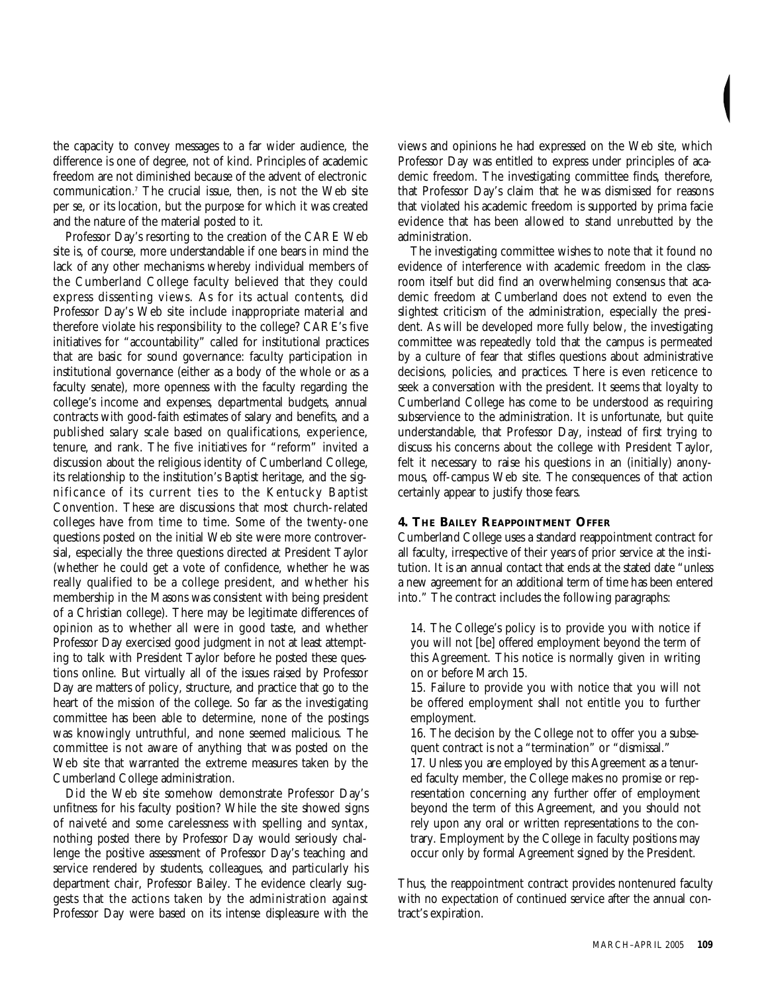the capacity to convey messages to a far wider audience, the difference is one of degree, not of kind. Principles of academic freedom are not diminished because of the advent of electronic communication.<sup>7</sup> The crucial issue, then, is not the Web site per se, or its location, but the purpose for which it was created and the nature of the material posted to it.

Professor Day's resorting to the creation of the CARE Web site is, of course, more understandable if one bears in mind the lack of any other mechanisms whereby individual members of the Cumberland College faculty believed that they could express dissenting views. As for its actual contents, did Professor Day's Web site include inappropriate material and therefore violate his responsibility to the college? CARE's five initiatives for "accountability" called for institutional practices that are basic for sound governance: faculty participation in institutional governance (either as a body of the whole or as a faculty senate), more openness with the faculty regarding the college's income and expenses, departmental budgets, annual contracts with good-faith estimates of salary and benefits, and a published salary scale based on qualifications, experience, tenure, and rank. The five initiatives for "reform" invited a discussion about the religious identity of Cumberland College, its relationship to the institution's Baptist heritage, and the significance of its current ties to the Kentucky Baptist Convention. These are discussions that most church-related colleges have from time to time. Some of the twenty-one questions posted on the initial Web site were more controversial, especially the three questions directed at President Taylor (whether he could get a vote of confidence, whether he was really qualified to be a college president, and whether his membership in the Masons was consistent with being president of a Christian college). There may be legitimate differences of opinion as to whether all were in good taste, and whether Professor Day exercised good judgment in not at least attempting to talk with President Taylor before he posted these questions online. But virtually all of the issues raised by Professor Day are matters of policy, structure, and practice that go to the heart of the mission of the college. So far as the investigating committee has been able to determine, none of the postings was knowingly untruthful, and none seemed malicious. The committee is not aware of anything that was posted on the Web site that warranted the extreme measures taken by the Cumberland College administration.

Did the Web site somehow demonstrate Professor Day's unfitness for his faculty position? While the site showed signs of naiveté and some carelessness with spelling and syntax, nothing posted there by Professor Day would seriously challenge the positive assessment of Professor Day's teaching and service rendered by students, colleagues, and particularly his department chair, Professor Bailey. The evidence clearly suggests that the actions taken by the administration against Professor Day were based on its intense displeasure with the

views and opinions he had expressed on the Web site, which Professor Day was entitled to express under principles of academic freedom. The investigating committee finds, therefore, that Professor Day's claim that he was dismissed for reasons that violated his academic freedom is supported by prima facie evidence that has been allowed to stand unrebutted by the administration.

The investigating committee wishes to note that it found no evidence of interference with academic freedom in the classroom itself but did find an overwhelming consensus that academic freedom at Cumberland does not extend to even the slightest criticism of the administration, especially the president. As will be developed more fully below, the investigating committee was repeatedly told that the campus is permeated by a culture of fear that stifles questions about administrative decisions, policies, and practices. There is even reticence to seek a conversation with the president. It seems that loyalty to Cumberland College has come to be understood as requiring subservience to the administration. It is unfortunate, but quite understandable, that Professor Day, instead of first trying to discuss his concerns about the college with President Taylor, felt it necessary to raise his questions in an (initially) anonymous, off-campus Web site. The consequences of that action certainly appear to justify those fears.

#### **4. THE BAILEY REAPPOINTMENT OFFER**

Cumberland College uses a standard reappointment contract for all faculty, irrespective of their years of prior service at the institution. It is an annual contact that ends at the stated date "unless a new agreement for an additional term of time has been entered into." The contract includes the following paragraphs:

14. The College's policy is to provide you with notice if you will not [be] offered employment beyond the term of this Agreement. This notice is normally given in writing on or before March 15.

15. Failure to provide you with notice that you will not be offered employment shall not entitle you to further employment.

16. The decision by the College not to offer you a subsequent contract is not a "termination" or "dismissal."

17. Unless you are employed by this Agreement as a tenured faculty member, the College makes no promise or representation concerning any further offer of employment beyond the term of this Agreement, and you should not rely upon any oral or written representations to the contrary. Employment by the College in faculty positions may occur only by formal Agreement signed by the President.

Thus, the reappointment contract provides nontenured faculty with no expectation of continued service after the annual contract's expiration.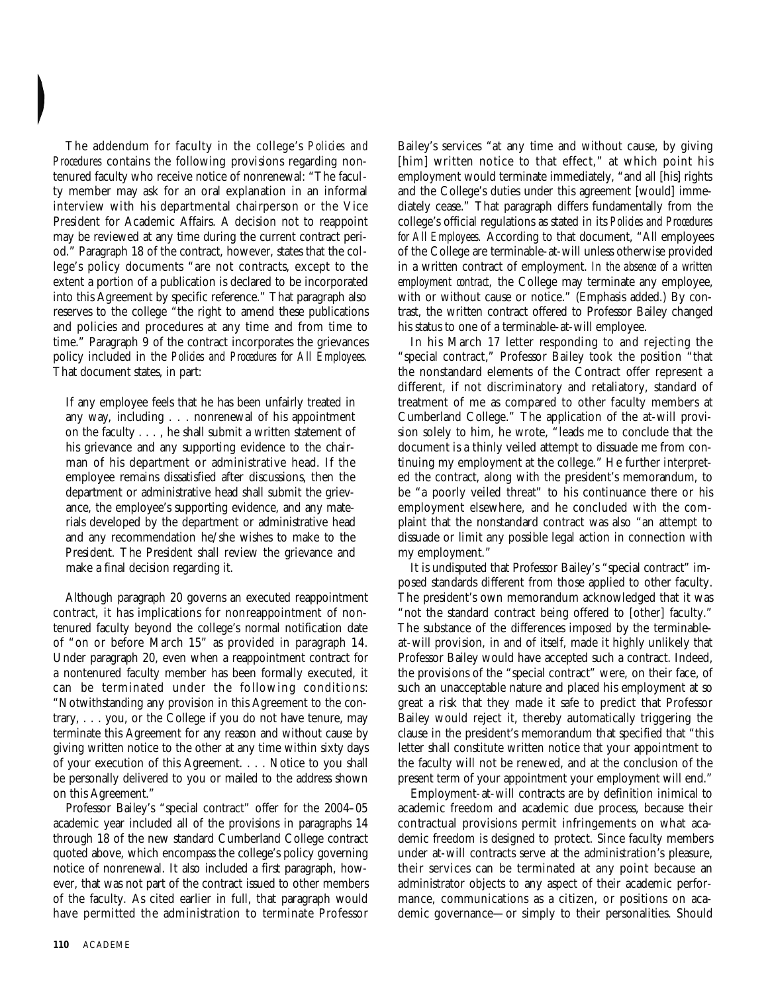The addendum for faculty in the college's *Policies and Procedures* contains the following provisions regarding nontenured faculty who receive notice of nonrenewal: "The faculty member may ask for an oral explanation in an informal interview with his departmental chairperson or the Vice President for Academic Affairs. A decision not to reappoint may be reviewed at any time during the current contract period." Paragraph 18 of the contract, however, states that the college's policy documents "are not contracts, except to the extent a portion of a publication is declared to be incorporated into this Agreement by specific reference." That paragraph also reserves to the college "the right to amend these publications and policies and procedures at any time and from time to time." Paragraph 9 of the contract incorporates the grievances policy included in the *Policies and Procedures for All Employees.* That document states, in part:

If any employee feels that he has been unfairly treated in any way, including . . . nonrenewal of his appointment on the faculty . . . , he shall submit a written statement of his grievance and any supporting evidence to the chairman of his department or administrative head. If the employee remains dissatisfied after discussions, then the department or administrative head shall submit the grievance, the employee's supporting evidence, and any materials developed by the department or administrative head and any recommendation he/she wishes to make to the President. The President shall review the grievance and make a final decision regarding it.

Although paragraph 20 governs an executed reappointment contract, it has implications for nonreappointment of nontenured faculty beyond the college's normal notification date of "on or before March 15" as provided in paragraph 14. Under paragraph 20, even when a reappointment contract for a nontenured faculty member has been formally executed, it can be terminated under the following conditions: "Notwithstanding any provision in this Agreement to the contrary, . . . you, or the College if you do not have tenure, may terminate this Agreement for any reason and without cause by giving written notice to the other at any time within sixty days of your execution of this Agreement. . . . Notice to you shall be personally delivered to you or mailed to the address shown on this Agreement."

Professor Bailey's "special contract" offer for the 2004–05 academic year included all of the provisions in paragraphs 14 through 18 of the new standard Cumberland College contract quoted above, which encompass the college's policy governing notice of nonrenewal. It also included a first paragraph, however, that was not part of the contract issued to other members of the faculty. As cited earlier in full, that paragraph would have permitted the administration to terminate Professor

Bailey's services "at any time and without cause, by giving [him] written notice to that effect," at which point his employment would terminate immediately, "and all [his] rights and the College's duties under this agreement [would] immediately cease." That paragraph differs fundamentally from the college's official regulations as stated in its *Policies and Procedures for All Employees.* According to that document, "All employees of the College are terminable-at-will unless otherwise provided in a written contract of employment. *In the absence of a written employment contract,* the College may terminate any employee, with or without cause or notice." (Emphasis added.) By contrast, the written contract offered to Professor Bailey changed his status to one of a terminable-at-will employee.

In his March 17 letter responding to and rejecting the "special contract," Professor Bailey took the position "that the nonstandard elements of the Contract offer represent a different, if not discriminatory and retaliatory, standard of treatment of me as compared to other faculty members at Cumberland College." The application of the at-will provision solely to him, he wrote, "leads me to conclude that the document is a thinly veiled attempt to dissuade me from continuing my employment at the college." He further interpreted the contract, along with the president's memorandum, to be "a poorly veiled threat" to his continuance there or his employment elsewhere, and he concluded with the complaint that the nonstandard contract was also "an attempt to dissuade or limit any possible legal action in connection with my employment."

It is undisputed that Professor Bailey's "special contract" imposed standards different from those applied to other faculty. The president's own memorandum acknowledged that it was "not the standard contract being offered to [other] faculty." The substance of the differences imposed by the terminableat-will provision, in and of itself, made it highly unlikely that Professor Bailey would have accepted such a contract. Indeed, the provisions of the "special contract" were, on their face, of such an unacceptable nature and placed his employment at so great a risk that they made it safe to predict that Professor Bailey would reject it, thereby automatically triggering the clause in the president's memorandum that specified that "this letter shall constitute written notice that your appointment to the faculty will not be renewed, and at the conclusion of the present term of your appointment your employment will end."

Employment-at-will contracts are by definition inimical to academic freedom and academic due process, because their contractual provisions permit infringements on what academic freedom is designed to protect. Since faculty members under at-will contracts serve at the administration's pleasure, their services can be terminated at any point because an administrator objects to any aspect of their academic performance, communications as a citizen, or positions on academic governance—or simply to their personalities. Should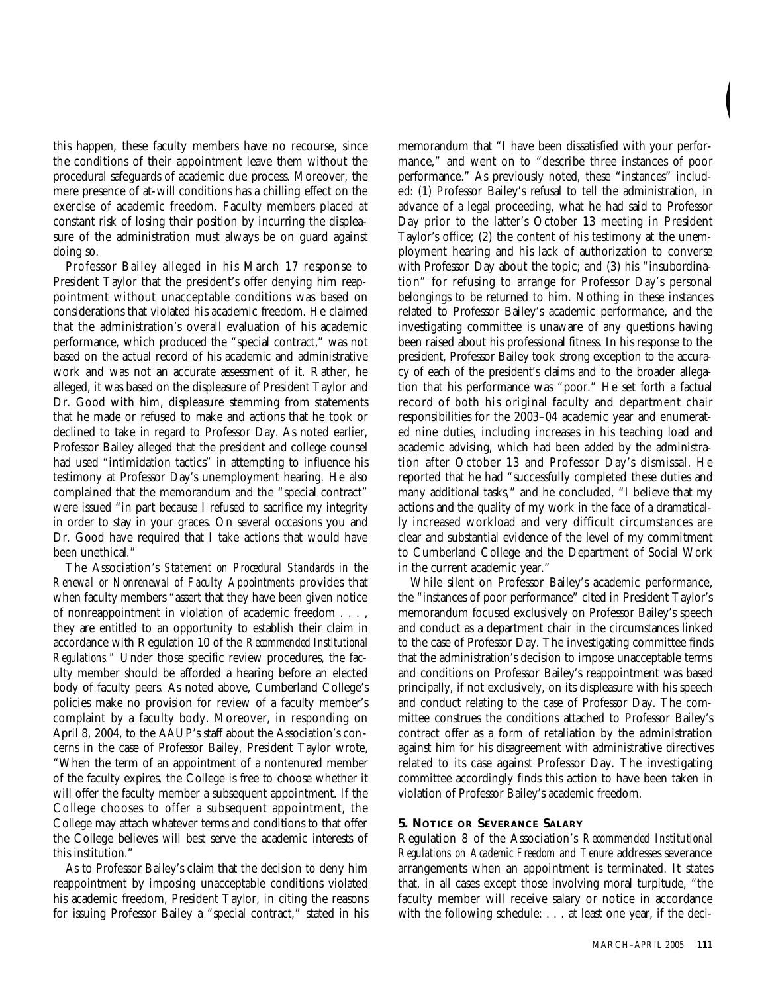this happen, these faculty members have no recourse, since the conditions of their appointment leave them without the procedural safeguards of academic due process. Moreover, the mere presence of at-will conditions has a chilling effect on the exercise of academic freedom. Faculty members placed at constant risk of losing their position by incurring the displeasure of the administration must always be on guard against doing so.

Professor Bailey alleged in his March 17 response to President Taylor that the president's offer denying him reappointment without unacceptable conditions was based on considerations that violated his academic freedom. He claimed that the administration's overall evaluation of his academic performance, which produced the "special contract," was not based on the actual record of his academic and administrative work and was not an accurate assessment of it. Rather, he alleged, it was based on the displeasure of President Taylor and Dr. Good with him, displeasure stemming from statements that he made or refused to make and actions that he took or declined to take in regard to Professor Day. As noted earlier, Professor Bailey alleged that the president and college counsel had used "intimidation tactics" in attempting to influence his testimony at Professor Day's unemployment hearing. He also complained that the memorandum and the "special contract" were issued "in part because I refused to sacrifice my integrity in order to stay in your graces. On several occasions you and Dr. Good have required that I take actions that would have been unethical."

The Association's *Statement on Procedural Standards in the Renewal or Nonrenewal of Faculty Appointments* provides that when faculty members "assert that they have been given notice of nonreappointment in violation of academic freedom . . . , they are entitled to an opportunity to establish their claim in accordance with Regulation 10 of the *Recommended Institutional Regulations."* Under those specific review procedures, the faculty member should be afforded a hearing before an elected body of faculty peers. As noted above, Cumberland College's policies make no provision for review of a faculty member's complaint by a faculty body. Moreover, in responding on April 8, 2004, to the AAUP's staff about the Association's concerns in the case of Professor Bailey, President Taylor wrote, "When the term of an appointment of a nontenured member of the faculty expires, the College is free to choose whether it will offer the faculty member a subsequent appointment. If the College chooses to offer a subsequent appointment, the College may attach whatever terms and conditions to that offer the College believes will best serve the academic interests of this institution."

As to Professor Bailey's claim that the decision to deny him reappointment by imposing unacceptable conditions violated his academic freedom, President Taylor, in citing the reasons for issuing Professor Bailey a "special contract," stated in his memorandum that "I have been dissatisfied with your performance," and went on to "describe three instances of poor performance." As previously noted, these "instances" included: (1) Professor Bailey's refusal to tell the administration, in advance of a legal proceeding, what he had said to Professor Day prior to the latter's October 13 meeting in President Taylor's office; (2) the content of his testimony at the unemployment hearing and his lack of authorization to converse with Professor Day about the topic; and (3) his "insubordination" for refusing to arrange for Professor Day's personal belongings to be returned to him. Nothing in these instances related to Professor Bailey's academic performance, and the investigating committee is unaware of any questions having been raised about his professional fitness. In his response to the president, Professor Bailey took strong exception to the accuracy of each of the president's claims and to the broader allegation that his performance was "poor." He set forth a factual record of both his original faculty and department chair responsibilities for the 2003–04 academic year and enumerated nine duties, including increases in his teaching load and academic advising, which had been added by the administration after October 13 and Professor Day's dismissal. He reported that he had "successfully completed these duties and many additional tasks," and he concluded, "I believe that my actions and the quality of my work in the face of a dramatically increased workload and very difficult circumstances are clear and substantial evidence of the level of my commitment to Cumberland College and the Department of Social Work in the current academic year."

While silent on Professor Bailey's academic performance, the "instances of poor performance" cited in President Taylor's memorandum focused exclusively on Professor Bailey's speech and conduct as a department chair in the circumstances linked to the case of Professor Day. The investigating committee finds that the administration's decision to impose unacceptable terms and conditions on Professor Bailey's reappointment was based principally, if not exclusively, on its displeasure with his speech and conduct relating to the case of Professor Day. The committee construes the conditions attached to Professor Bailey's contract offer as a form of retaliation by the administration against him for his disagreement with administrative directives related to its case against Professor Day. The investigating committee accordingly finds this action to have been taken in violation of Professor Bailey's academic freedom.

#### **5. NOTICE OR SEVERANCE SALARY**

Regulation 8 of the Association's *Recommended Institutional Regulations on Academic Freedom and Tenure* addresses severance arrangements when an appointment is terminated. It states that, in all cases except those involving moral turpitude, "the faculty member will receive salary or notice in accordance with the following schedule: . . . at least one year, if the deci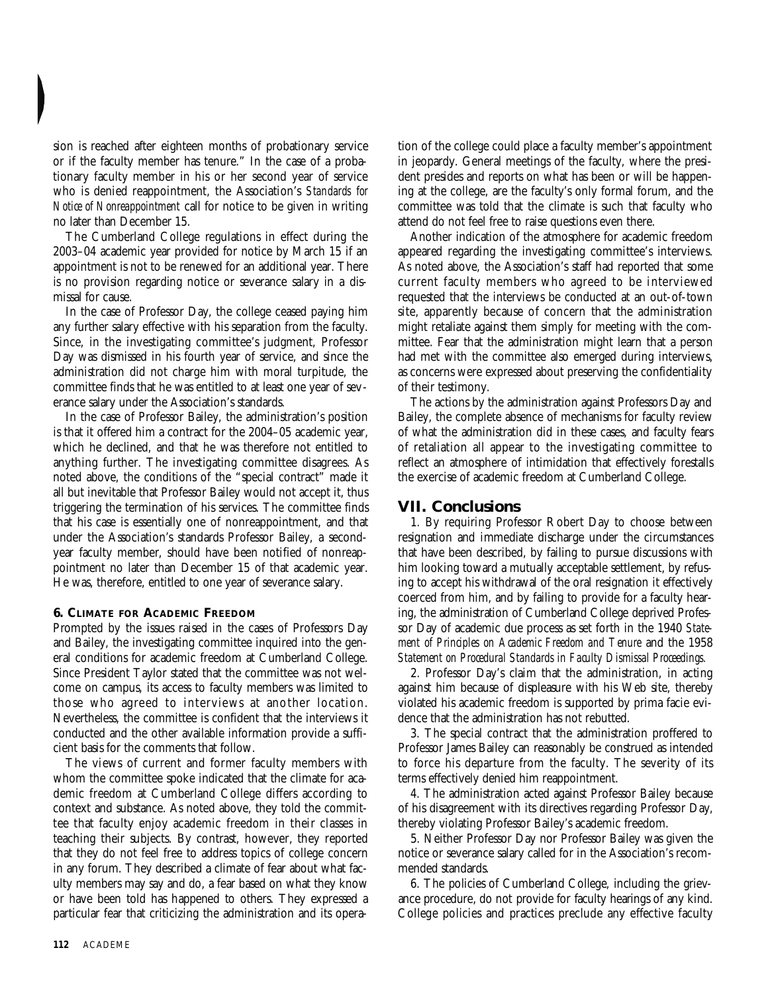sion is reached after eighteen months of probationary service or if the faculty member has tenure." In the case of a probationary faculty member in his or her second year of service who is denied reappointment, the Association's *Standards for Notice of Nonreappointment* call for notice to be given in writing no later than December 15.

The Cumberland College regulations in effect during the 2003–04 academic year provided for notice by March 15 if an appointment is not to be renewed for an additional year. There is no provision regarding notice or severance salary in a dismissal for cause.

In the case of Professor Day, the college ceased paying him any further salary effective with his separation from the faculty. Since, in the investigating committee's judgment, Professor Day was dismissed in his fourth year of service, and since the administration did not charge him with moral turpitude, the committee finds that he was entitled to at least one year of severance salary under the Association's standards.

In the case of Professor Bailey, the administration's position is that it offered him a contract for the 2004–05 academic year, which he declined, and that he was therefore not entitled to anything further. The investigating committee disagrees. As noted above, the conditions of the "special contract" made it all but inevitable that Professor Bailey would not accept it, thus triggering the termination of his services. The committee finds that his case is essentially one of nonreappointment, and that under the Association's standards Professor Bailey, a secondyear faculty member, should have been notified of nonreappointment no later than December 15 of that academic year. He was, therefore, entitled to one year of severance salary.

#### **6. CLIMATE FOR ACADEMIC FREEDOM**

Prompted by the issues raised in the cases of Professors Day and Bailey, the investigating committee inquired into the general conditions for academic freedom at Cumberland College. Since President Taylor stated that the committee was not welcome on campus, its access to faculty members was limited to those who agreed to interviews at another location. Nevertheless, the committee is confident that the interviews it conducted and the other available information provide a sufficient basis for the comments that follow.

The views of current and former faculty members with whom the committee spoke indicated that the climate for academic freedom at Cumberland College differs according to context and substance. As noted above, they told the committee that faculty enjoy academic freedom in their classes in teaching their subjects. By contrast, however, they reported that they do not feel free to address topics of college concern in any forum. They described a climate of fear about what faculty members may say and do, a fear based on what they know or have been told has happened to others. They expressed a particular fear that criticizing the administration and its opera-

tion of the college could place a faculty member's appointment in jeopardy. General meetings of the faculty, where the president presides and reports on what has been or will be happening at the college, are the faculty's only formal forum, and the committee was told that the climate is such that faculty who attend do not feel free to raise questions even there.

Another indication of the atmosphere for academic freedom appeared regarding the investigating committee's interviews. As noted above, the Association's staff had reported that some current faculty members who agreed to be interviewed requested that the interviews be conducted at an out-of-town site, apparently because of concern that the administration might retaliate against them simply for meeting with the committee. Fear that the administration might learn that a person had met with the committee also emerged during interviews, as concerns were expressed about preserving the confidentiality of their testimony.

The actions by the administration against Professors Day and Bailey, the complete absence of mechanisms for faculty review of what the administration did in these cases, and faculty fears of retaliation all appear to the investigating committee to reflect an atmosphere of intimidation that effectively forestalls the exercise of academic freedom at Cumberland College.

# **VII. Conclusions**

1. By requiring Professor Robert Day to choose between resignation and immediate discharge under the circumstances that have been described, by failing to pursue discussions with him looking toward a mutually acceptable settlement, by refusing to accept his withdrawal of the oral resignation it effectively coerced from him, and by failing to provide for a faculty hearing, the administration of Cumberland College deprived Professor Day of academic due process as set forth in the 1940 *Statement of Principles on Academic Freedom and Tenure* and the 1958 *Statement on Procedural Standards in Faculty Dismissal Proceedings.*

2. Professor Day's claim that the administration, in acting against him because of displeasure with his Web site, thereby violated his academic freedom is supported by prima facie evidence that the administration has not rebutted.

3. The special contract that the administration proffered to Professor James Bailey can reasonably be construed as intended to force his departure from the faculty. The severity of its terms effectively denied him reappointment.

4. The administration acted against Professor Bailey because of his disagreement with its directives regarding Professor Day, thereby violating Professor Bailey's academic freedom.

5. Neither Professor Day nor Professor Bailey was given the notice or severance salary called for in the Association's recommended standards.

6. The policies of Cumberland College, including the grievance procedure, do not provide for faculty hearings of any kind. College policies and practices preclude any effective faculty